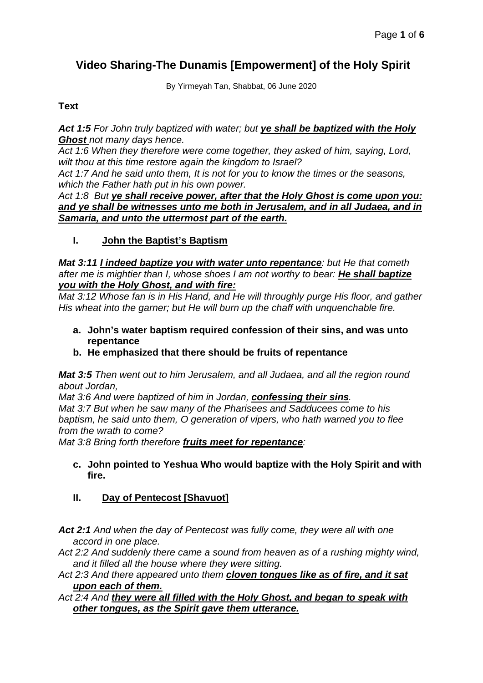# **Video Sharing-The Dunamis [Empowerment] of the Holy Spirit**

By Yirmeyah Tan, Shabbat, 06 June 2020

## **Text**

*Act 1:5 For John truly baptized with water; but ye shall be baptized with the Holy Ghost not many days hence.*

*Act 1:6 When they therefore were come together, they asked of him, saying, Lord, wilt thou at this time restore again the kingdom to Israel?*

*Act 1:7 And he said unto them, It is not for you to know the times or the seasons, which the Father hath put in his own power.*

*Act 1:8 But ye shall receive power, after that the Holy Ghost is come upon you: and ye shall be witnesses unto me both in Jerusalem, and in all Judaea, and in Samaria, and unto the uttermost part of the earth.*

**I. John the Baptist's Baptism**

*Mat 3:11 I indeed baptize you with water unto repentance: but He that cometh after me is mightier than I, whose shoes I am not worthy to bear: He shall baptize you with the Holy Ghost, and with fire:*

*Mat 3:12 Whose fan is in His Hand, and He will throughly purge His floor, and gather His wheat into the garner; but He will burn up the chaff with unquenchable fire.*

- **a. John's water baptism required confession of their sins, and was unto repentance**
- **b. He emphasized that there should be fruits of repentance**

*Mat 3:5 Then went out to him Jerusalem, and all Judaea, and all the region round about Jordan,*

*Mat 3:6 And were baptized of him in Jordan, confessing their sins. Mat 3:7 But when he saw many of the Pharisees and Sadducees come to his baptism, he said unto them, O generation of vipers, who hath warned you to flee from the wrath to come?*

*Mat 3:8 Bring forth therefore fruits meet for repentance:*

**c. John pointed to Yeshua Who would baptize with the Holy Spirit and with fire.**

## **II. Day of Pentecost [Shavuot]**

*Act 2:1 And when the day of Pentecost was fully come, they were all with one accord in one place.*

*Act 2:2 And suddenly there came a sound from heaven as of a rushing mighty wind, and it filled all the house where they were sitting.*

*Act 2:3 And there appeared unto them cloven tongues like as of fire, and it sat upon each of them.*

#### *Act 2:4 And they were all filled with the Holy Ghost, and began to speak with other tongues, as the Spirit gave them utterance.*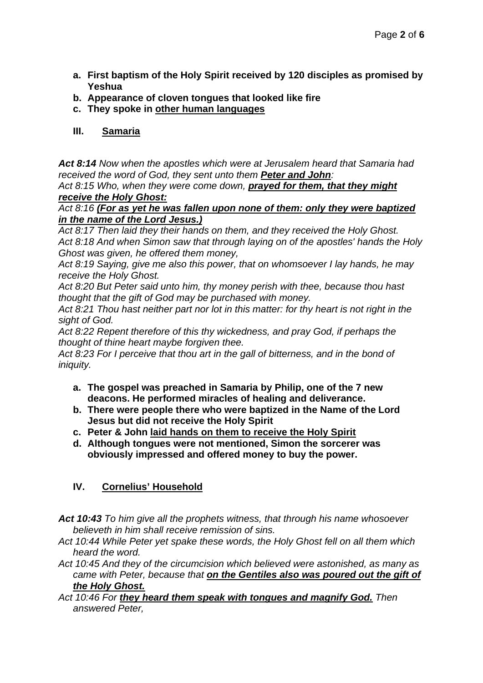- **a. First baptism of the Holy Spirit received by 120 disciples as promised by Yeshua**
- **b. Appearance of cloven tongues that looked like fire**
- **c. They spoke in other human languages**

## **III. Samaria**

*Act 8:14 Now when the apostles which were at Jerusalem heard that Samaria had received the word of God, they sent unto them Peter and John:*

*Act 8:15 Who, when they were come down, prayed for them, that they might receive the Holy Ghost:*

*Act 8:16 (For as yet he was fallen upon none of them: only they were baptized in the name of the Lord Jesus.)*

*Act 8:17 Then laid they their hands on them, and they received the Holy Ghost. Act 8:18 And when Simon saw that through laying on of the apostles' hands the Holy Ghost was given, he offered them money,*

*Act 8:19 Saying, give me also this power, that on whomsoever I lay hands, he may receive the Holy Ghost.*

*Act 8:20 But Peter said unto him, thy money perish with thee, because thou hast thought that the gift of God may be purchased with money.*

*Act 8:21 Thou hast neither part nor lot in this matter: for thy heart is not right in the sight of God.*

*Act 8:22 Repent therefore of this thy wickedness, and pray God, if perhaps the thought of thine heart maybe forgiven thee.*

*Act 8:23 For I perceive that thou art in the gall of bitterness, and in the bond of iniquity.*

- **a. The gospel was preached in Samaria by Philip, one of the 7 new deacons. He performed miracles of healing and deliverance.**
- **b. There were people there who were baptized in the Name of the Lord Jesus but did not receive the Holy Spirit**
- **c. Peter & John laid hands on them to receive the Holy Spirit**
- **d. Although tongues were not mentioned, Simon the sorcerer was obviously impressed and offered money to buy the power.**

## **IV. Cornelius' Household**

*Act 10:43 To him give all the prophets witness, that through his name whosoever believeth in him shall receive remission of sins.*

*Act 10:44 While Peter yet spake these words, the Holy Ghost fell on all them which heard the word.*

*Act 10:45 And they of the circumcision which believed were astonished, as many as came with Peter, because that on the Gentiles also was poured out the gift of the Holy Ghost.*

*Act 10:46 For they heard them speak with tongues and magnify God. Then answered Peter,*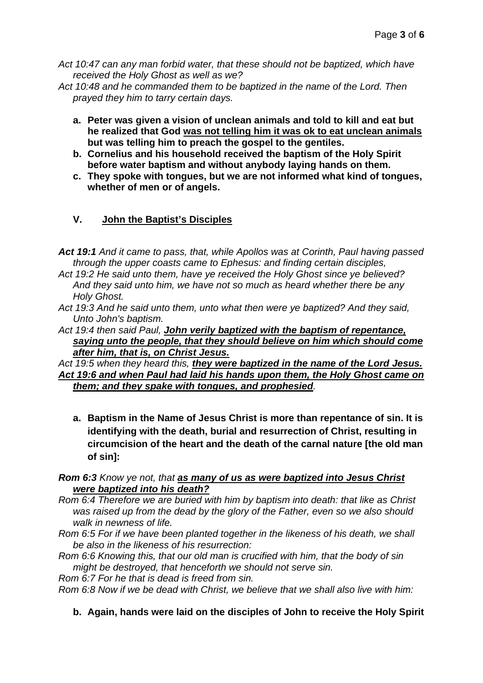*Act 10:47 can any man forbid water, that these should not be baptized, which have received the Holy Ghost as well as we?*

*Act 10:48 and he commanded them to be baptized in the name of the Lord. Then prayed they him to tarry certain days.*

- **a. Peter was given a vision of unclean animals and told to kill and eat but he realized that God was not telling him it was ok to eat unclean animals but was telling him to preach the gospel to the gentiles.**
- **b. Cornelius and his household received the baptism of the Holy Spirit before water baptism and without anybody laying hands on them.**
- **c. They spoke with tongues, but we are not informed what kind of tongues, whether of men or of angels.**

## **V. John the Baptist's Disciples**

*Act 19:1 And it came to pass, that, while Apollos was at Corinth, Paul having passed through the upper coasts came to Ephesus: and finding certain disciples,*

- *Act 19:2 He said unto them, have ye received the Holy Ghost since ye believed? And they said unto him, we have not so much as heard whether there be any Holy Ghost.*
- *Act 19:3 And he said unto them, unto what then were ye baptized? And they said, Unto John's baptism.*
- *Act 19:4 then said Paul, John verily baptized with the baptism of repentance, saying unto the people, that they should believe on him which should come after him, that is, on Christ Jesus.*

*Act 19:5 when they heard this, they were baptized in the name of the Lord Jesus. Act 19:6 and when Paul had laid his hands upon them, the Holy Ghost came on them; and they spake with tongues, and prophesied.*

**a. Baptism in the Name of Jesus Christ is more than repentance of sin. It is identifying with the death, burial and resurrection of Christ, resulting in circumcision of the heart and the death of the carnal nature [the old man of sin]:**

#### *Rom 6:3 Know ye not, that as many of us as were baptized into Jesus Christ were baptized into his death?*

- *Rom 6:4 Therefore we are buried with him by baptism into death: that like as Christ was raised up from the dead by the glory of the Father, even so we also should walk in newness of life.*
- *Rom 6:5 For if we have been planted together in the likeness of his death, we shall be also in the likeness of his resurrection:*
- *Rom 6:6 Knowing this, that our old man is crucified with him, that the body of sin might be destroyed, that henceforth we should not serve sin.*

*Rom 6:7 For he that is dead is freed from sin.*

*Rom 6:8 Now if we be dead with Christ, we believe that we shall also live with him:*

**b. Again, hands were laid on the disciples of John to receive the Holy Spirit**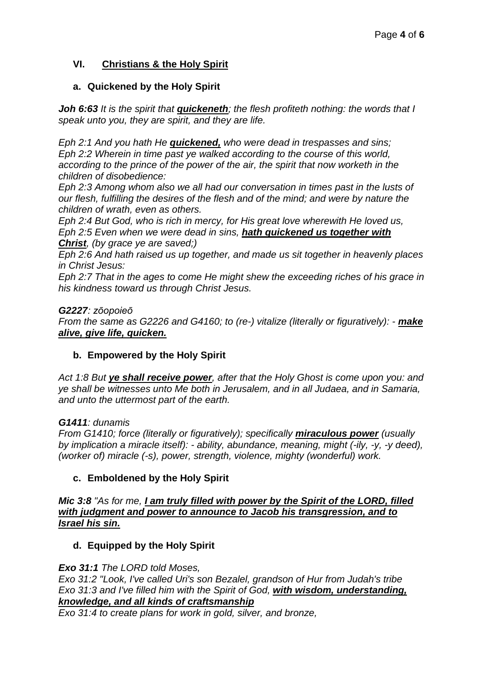## **VI. Christians & the Holy Spirit**

## **a. Quickened by the Holy Spirit**

*Joh 6:63 It is the spirit that quickeneth; the flesh profiteth nothing: the words that I speak unto you, they are spirit, and they are life.*

*Eph 2:1 And you hath He quickened, who were dead in trespasses and sins; Eph 2:2 Wherein in time past ye walked according to the course of this world, according to the prince of the power of the air, the spirit that now worketh in the children of disobedience:*

*Eph 2:3 Among whom also we all had our conversation in times past in the lusts of our flesh, fulfilling the desires of the flesh and of the mind; and were by nature the children of wrath, even as others.*

*Eph 2:4 But God, who is rich in mercy, for His great love wherewith He loved us, Eph 2:5 Even when we were dead in sins, hath quickened us together with Christ, (by grace ye are saved;)*

*Eph 2:6 And hath raised us up together, and made us sit together in heavenly places in Christ Jesus:*

*Eph 2:7 That in the ages to come He might shew the exceeding riches of his grace in his kindness toward us through Christ Jesus.*

#### *G2227: zōopoieō*

*From the same as G2226 and G4160; to (re-) vitalize (literally or figuratively): - make alive, give life, quicken.*

#### **b. Empowered by the Holy Spirit**

*Act 1:8 But ye shall receive power, after that the Holy Ghost is come upon you: and ye shall be witnesses unto Me both in Jerusalem, and in all Judaea, and in Samaria, and unto the uttermost part of the earth.*

#### *G1411: dunamis*

*From G1410; force (literally or figuratively); specifically miraculous power (usually by implication a miracle itself): - ability, abundance, meaning, might (-ily, -y, -y deed), (worker of) miracle (-s), power, strength, violence, mighty (wonderful) work.*

#### **c. Emboldened by the Holy Spirit**

#### *Mic 3:8 "As for me, I am truly filled with power by the Spirit of the LORD, filled with judgment and power to announce to Jacob his transgression, and to Israel his sin.*

## **d. Equipped by the Holy Spirit**

#### *Exo 31:1 The LORD told Moses,*

*Exo 31:2 "Look, I've called Uri's son Bezalel, grandson of Hur from Judah's tribe Exo 31:3 and I've filled him with the Spirit of God, with wisdom, understanding, knowledge, and all kinds of craftsmanship*

*Exo 31:4 to create plans for work in gold, silver, and bronze,*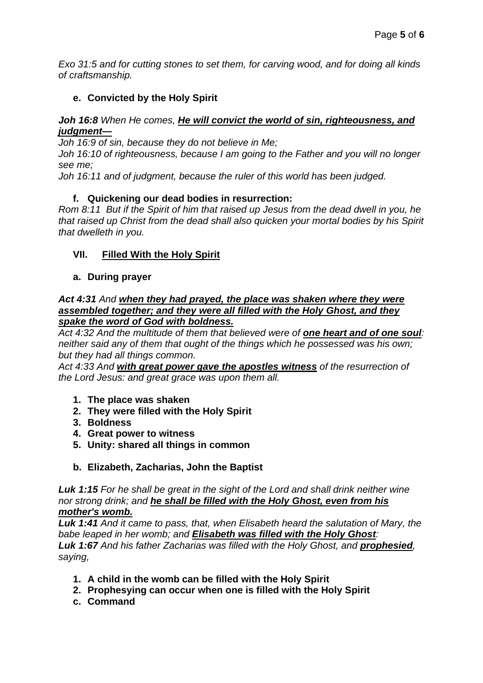*Exo 31:5 and for cutting stones to set them, for carving wood, and for doing all kinds of craftsmanship.*

## **e. Convicted by the Holy Spirit**

## *Joh 16:8 When He comes, He will convict the world of sin, righteousness, and judgment—*

*Joh 16:9 of sin, because they do not believe in Me;*

*Joh 16:10 of righteousness, because I am going to the Father and you will no longer see me;*

*Joh 16:11 and of judgment, because the ruler of this world has been judged.*

## **f. Quickening our dead bodies in resurrection:**

*Rom 8:11 But if the Spirit of him that raised up Jesus from the dead dwell in you, he that raised up Christ from the dead shall also quicken your mortal bodies by his Spirit that dwelleth in you.*

## **VII. Filled With the Holy Spirit**

## **a. During prayer**

#### *Act 4:31 And when they had prayed, the place was shaken where they were assembled together; and they were all filled with the Holy Ghost, and they spake the word of God with boldness.*

*Act 4:32 And the multitude of them that believed were of one heart and of one soul: neither said any of them that ought of the things which he possessed was his own; but they had all things common.*

*Act 4:33 And with great power gave the apostles witness of the resurrection of the Lord Jesus: and great grace was upon them all.*

- **1. The place was shaken**
- **2. They were filled with the Holy Spirit**
- **3. Boldness**
- **4. Great power to witness**
- **5. Unity: shared all things in common**
- **b. Elizabeth, Zacharias, John the Baptist**

*Luk 1:15 For he shall be great in the sight of the Lord and shall drink neither wine nor strong drink; and he shall be filled with the Holy Ghost, even from his mother's womb.*

*Luk 1:41 And it came to pass, that, when Elisabeth heard the salutation of Mary, the babe leaped in her womb; and Elisabeth was filled with the Holy Ghost: Luk 1:67 And his father Zacharias was filled with the Holy Ghost, and prophesied, saying,*

- **1. A child in the womb can be filled with the Holy Spirit**
- **2. Prophesying can occur when one is filled with the Holy Spirit**
- **c. Command**